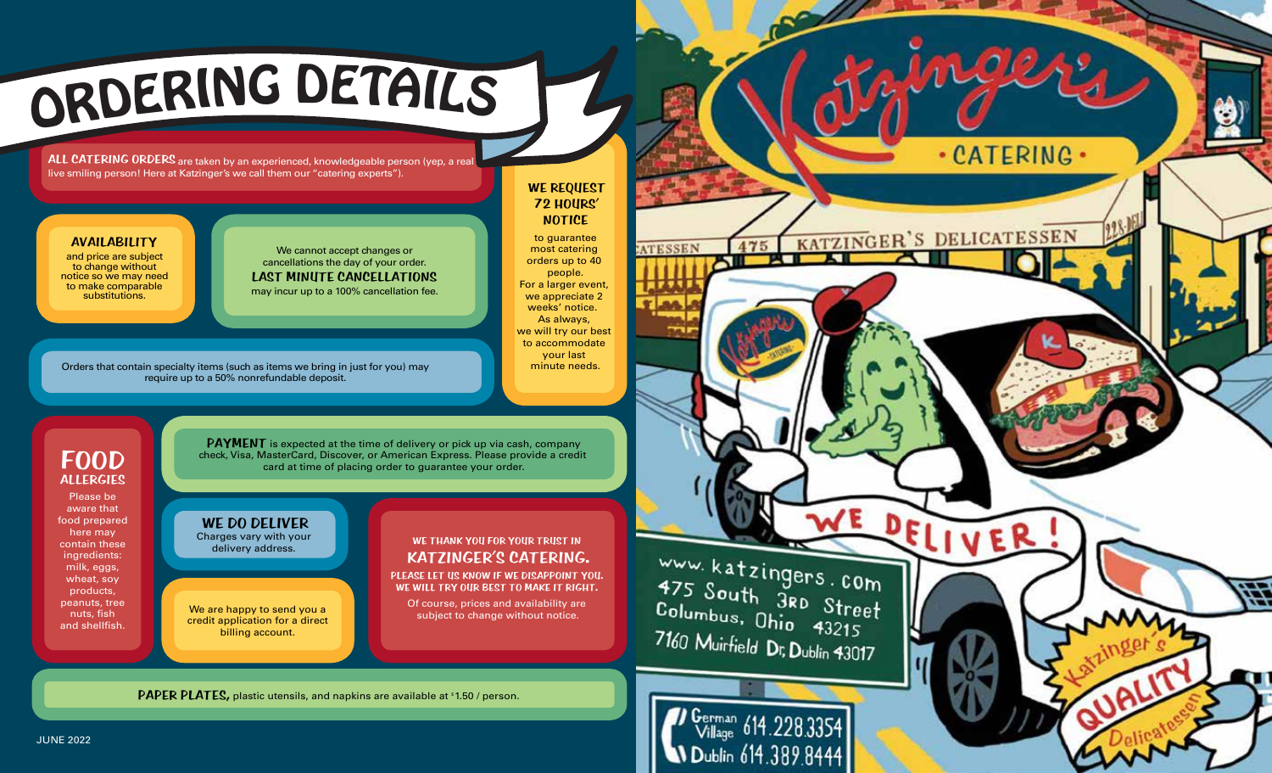

ALL CATERING ORDERS are taken by an experienced, knowledgeable person (yep, a real live smiling person! Here at Katzinger's we call them our "catering experts").

### **AVAILABILITY**

and price are subject to change without notice so we may need to make comparable substitutions.

We cannot accept changes or cancellations the day of your order. **LAST MINUTE CANCELLATIONS**  may incur up to a 100% cancellation fee.

Orders that contain specialty items (such as items we bring in just for you) may require up to a 50% nonrefundable deposit.

### **WE REQUEST 72 HOURS' NOTICE**

to guarantee most catering orders up to 40 people. For a larger event, we appreciate 2 weeks' notice. As always, we will try our best to accommodate your last minute needs.

## **FOOD ALLERGIES**

Please be aware that food prepared here may contain these ingredients: milk, eggs, wheat, soy products, peanuts, tree nuts, fish and shellfish.

**PAYMENT** is expected at the time of delivery or pick up via cash, company check, Visa, MasterCard, Discover, or American Express. Please provide a credit card at time of placing order to guarantee your order.

**WE DO DELIVER** Charges vary with your delivery address.

We are happy to send you a credit application for a direct billing account.

PAPER PLATES, plastic utensils, and napkins are available at \$1.50 / person.

## **WE THANK YOU FOR YOUR TRUST IN KATZINGER'S CATERING.**

**PLEASE LET US KNOW IF WE DISAPPOINT YOU. WE WILL TRY OUR BEST TO MAKE IT RIGHT.** 

Of course, prices and availability are subject to change without notice.

WWW. katzingers. com<br>475 South 3RD Street<br>Columbus, Ohio 43215<br>7160 Muirfield Dr. D. L. 1995 7160 Muirfield Dr, Dublin 43017

475

**ATESSEN** 

· CATERING ·

KATZINGER'S DELICATESSEN

DELIV

German 614.228.3354 Dublin 614.389.8444

JUNE 2022